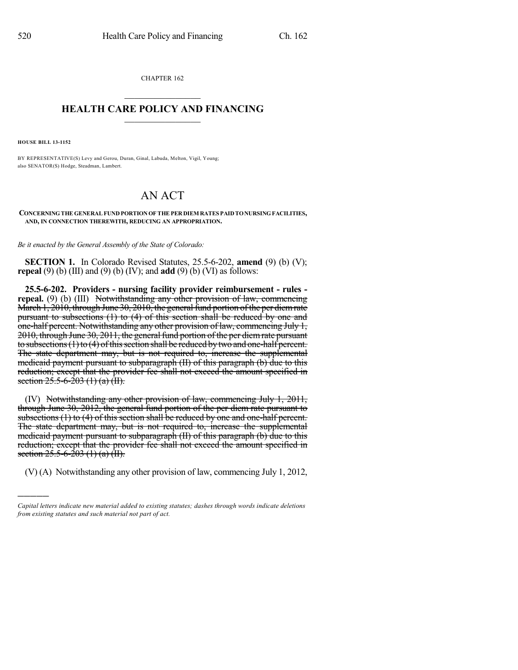CHAPTER 162  $\overline{\phantom{a}}$  . The set of the set of the set of the set of the set of the set of the set of the set of the set of the set of the set of the set of the set of the set of the set of the set of the set of the set of the set o

## **HEALTH CARE POLICY AND FINANCING**  $\_$   $\_$   $\_$   $\_$   $\_$   $\_$   $\_$   $\_$

**HOUSE BILL 13-1152**

)))))

BY REPRESENTATIVE(S) Levy and Gerou, Duran, Ginal, Labuda, Melton, Vigil, Young; also SENATOR(S) Hodge, Steadman, Lambert.

## AN ACT

**CONCERNINGTHE GENERAL FUND PORTIONOF THE PER DIEM RATES PAIDTONURSINGFACILITIES, AND, IN CONNECTION THEREWITH, REDUCING AN APPROPRIATION.**

*Be it enacted by the General Assembly of the State of Colorado:*

**SECTION 1.** In Colorado Revised Statutes, 25.5-6-202, **amend** (9) (b) (V); **repeal** (9) (b) (III) and (9) (b) (IV); and **add** (9) (b) (VI) as follows:

**25.5-6-202. Providers - nursing facility provider reimbursement - rules repeal.** (9) (b) (III) Notwithstanding any other provision of law, commencing March 1, 2010, through June 30, 2010, the general fund portion of the per diem rate pursuant to subsections (1) to (4) of this section shall be reduced by one and one-half percent. Notwithstanding any other provision of law, commencing July 1, 2010, through June 30, 2011, the general fund portion of the per diem rate pursuant to subsections  $(1)$  to  $(4)$  of this section shall be reduced by two and one-half percent. The state department may, but is not required to, increase the supplemental medicaid payment pursuant to subparagraph (II) of this paragraph (b) due to this reduction; except that the provider fee shall not exceed the amount specified in section  $25.5 - 6 - 203$  (1) (a) (II).

(IV) Notwithstanding any other provision of law, commencing July 1, 2011, through June 30, 2012, the general fund portion of the per diem rate pursuant to subsections (1) to (4) of this section shall be reduced by one and one-half percent. The state department may, but is not required to, increase the supplemental medicaid payment pursuant to subparagraph (II) of this paragraph (b) due to this reduction; except that the provider fee shall not exceed the amount specified in section  $25.5 - 6 - 203$  (1) (a) (II).

(V) (A) Notwithstanding any other provision of law, commencing July 1, 2012,

*Capital letters indicate new material added to existing statutes; dashes through words indicate deletions from existing statutes and such material not part of act.*